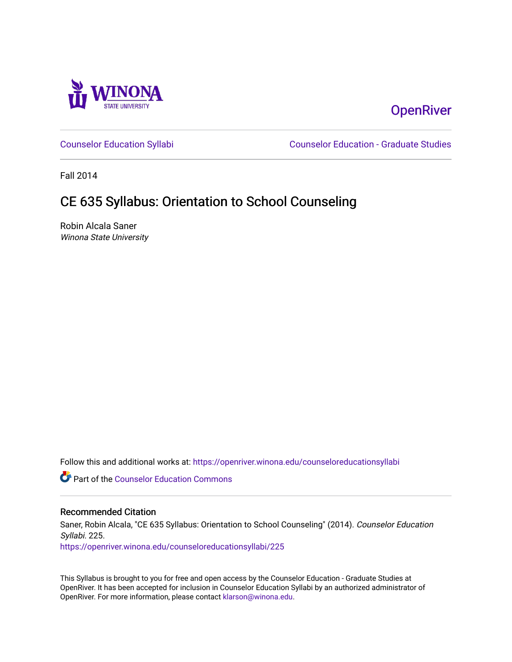

# **OpenRiver**

[Counselor Education Syllabi](https://openriver.winona.edu/counseloreducationsyllabi) [Counselor Education - Graduate Studies](https://openriver.winona.edu/counseloreducation) 

Fall 2014

# CE 635 Syllabus: Orientation to School Counseling

Robin Alcala Saner Winona State University

Follow this and additional works at: [https://openriver.winona.edu/counseloreducationsyllabi](https://openriver.winona.edu/counseloreducationsyllabi?utm_source=openriver.winona.edu%2Fcounseloreducationsyllabi%2F225&utm_medium=PDF&utm_campaign=PDFCoverPages)

Part of the [Counselor Education Commons](http://network.bepress.com/hgg/discipline/1278?utm_source=openriver.winona.edu%2Fcounseloreducationsyllabi%2F225&utm_medium=PDF&utm_campaign=PDFCoverPages) 

#### Recommended Citation

Saner, Robin Alcala, "CE 635 Syllabus: Orientation to School Counseling" (2014). Counselor Education Syllabi. 225.

[https://openriver.winona.edu/counseloreducationsyllabi/225](https://openriver.winona.edu/counseloreducationsyllabi/225?utm_source=openriver.winona.edu%2Fcounseloreducationsyllabi%2F225&utm_medium=PDF&utm_campaign=PDFCoverPages)

This Syllabus is brought to you for free and open access by the Counselor Education - Graduate Studies at OpenRiver. It has been accepted for inclusion in Counselor Education Syllabi by an authorized administrator of OpenRiver. For more information, please contact [klarson@winona.edu](mailto:klarson@winona.edu).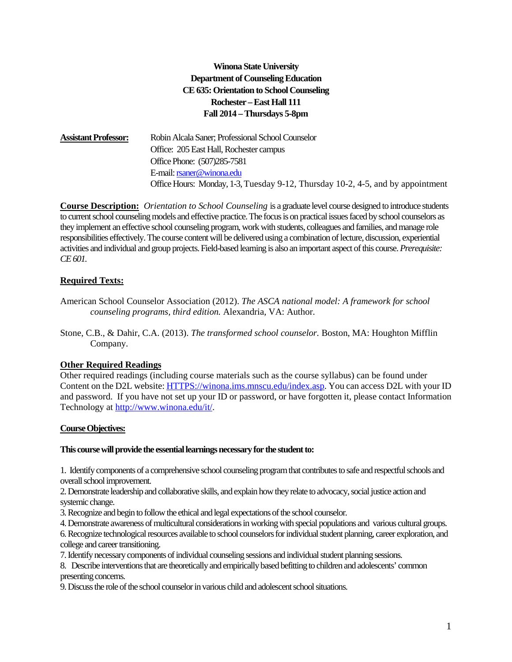# **Winona State University Department of Counseling Education CE 635: Orientation to School Counseling Rochester –East Hall 111 Fall 2014 –Thursdays 5-8pm**

**Assistant Professor:** Robin Alcala Saner; Professional School Counselor Office: 205 East Hall, Rochester campus Office Phone: (507)285-7581 E-mail[: rsaner@winona.edu](mailto:rsaner@winona.edu) Office Hours: Monday, 1-3, Tuesday 9-12, Thursday 10-2, 4-5, and by appointment

**Course Description:** *Orientation to School Counseling* is a graduate level course designed to introduce students to current school counseling models and effective practice. The focus is on practical issues faced by school counselors as they implement an effective school counseling program, work with students, colleagues and families, and manage role responsibilities effectively. The course content will be delivered using a combination of lecture, discussion, experiential activities and individual and group projects. Field-based learning is also an important aspect of this course. *Prerequisite: CE 601.* 

# **Required Texts:**

- American School Counselor Association (2012). *The ASCA national model: A framework for school counseling programs, third edition.* Alexandria, VA: Author.
- Stone, C.B., & Dahir, C.A. (2013). *The transformed school counselor.* Boston, MA: Houghton Mifflin Company.

# **Other Required Readings**

Other required readings (including course materials such as the course syllabus) can be found under Content on the D2L website[: HTTPS://winona.ims.mnscu.edu/index.asp.](https://winona.ims.mnscu.edu/index.asp) You can access D2L with your ID and password. If you have not set up your ID or password, or have forgotten it, please contact Information Technology at [http://www.winona.edu/it/.](http://www.winona.edu/it/)

# **Course Objectives:**

#### **This course will provide the essential learnings necessary for the student to:**

1. Identify components of a comprehensive school counseling program that contributes to safe and respectful schools and overall school improvement.

2. Demonstrate leadership and collaborative skills, and explain how they relate to advocacy, social justice action and systemic change.

3. Recognize and begin to follow the ethical and legal expectations of the school counselor.

4. Demonstrate awareness of multicultural considerations in working with special populations and various cultural groups.

6. Recognize technological resources available to school counselors for individual student planning, career exploration, and college and career transitioning.

7. Identify necessary components of individual counseling sessions and individual student planning sessions.

8. Describe interventions that are theoretically and empirically based befitting to children and adolescents' common presenting concerns.

9. Discuss the role of the school counselor in various child and adolescent school situations.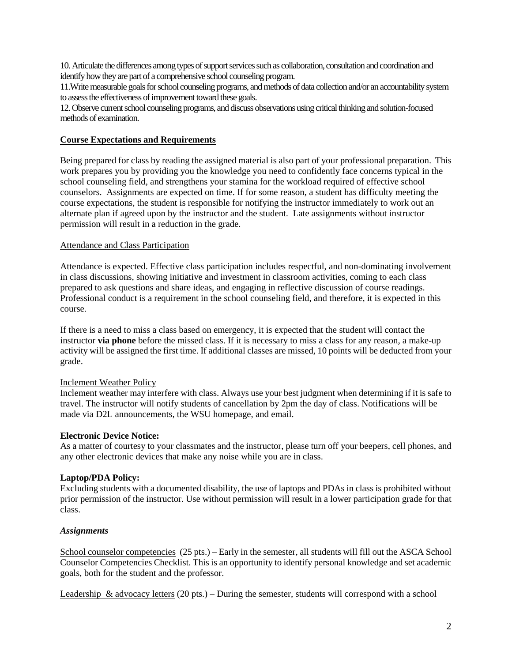10. Articulate the differences among types of support services such as collaboration, consultation and coordination and identify how they are part of a comprehensive school counseling program.

11.Write measurable goals for school counseling programs, and methods of data collection and/or an accountability system to assess the effectiveness of improvement toward these goals.

12.Observe current school counseling programs, and discuss observations using critical thinking and solution-focused methods of examination.

### **Course Expectations and Requirements**

Being prepared for class by reading the assigned material is also part of your professional preparation. This work prepares you by providing you the knowledge you need to confidently face concerns typical in the school counseling field, and strengthens your stamina for the workload required of effective school counselors. Assignments are expected on time. If for some reason, a student has difficulty meeting the course expectations, the student is responsible for notifying the instructor immediately to work out an alternate plan if agreed upon by the instructor and the student. Late assignments without instructor permission will result in a reduction in the grade.

## Attendance and Class Participation

Attendance is expected. Effective class participation includes respectful, and non-dominating involvement in class discussions, showing initiative and investment in classroom activities, coming to each class prepared to ask questions and share ideas, and engaging in reflective discussion of course readings. Professional conduct is a requirement in the school counseling field, and therefore, it is expected in this course.

If there is a need to miss a class based on emergency, it is expected that the student will contact the instructor **via phone** before the missed class. If it is necessary to miss a class for any reason, a make-up activity will be assigned the first time. If additional classes are missed, 10 points will be deducted from your grade.

#### Inclement Weather Policy

Inclement weather may interfere with class. Always use your best judgment when determining if it is safe to travel. The instructor will notify students of cancellation by 2pm the day of class. Notifications will be made via D2L announcements, the WSU homepage, and email.

# **Electronic Device Notice:**

As a matter of courtesy to your classmates and the instructor, please turn off your beepers, cell phones, and any other electronic devices that make any noise while you are in class.

# **Laptop/PDA Policy:**

Excluding students with a documented disability, the use of laptops and PDAs in class is prohibited without prior permission of the instructor. Use without permission will result in a lower participation grade for that class.

#### *Assignments*

School counselor competencies (25 pts.) – Early in the semester, all students will fill out the ASCA School Counselor Competencies Checklist. This is an opportunity to identify personal knowledge and set academic goals, both for the student and the professor.

Leadership & advocacy letters (20 pts.) – During the semester, students will correspond with a school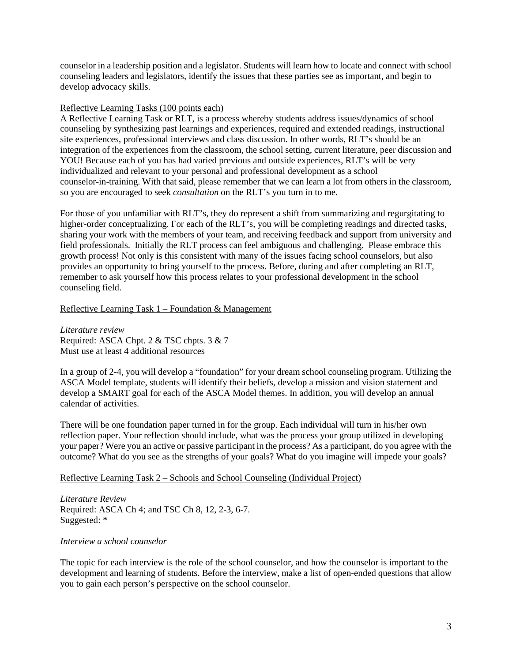counselor in a leadership position and a legislator. Students will learn how to locate and connect with school counseling leaders and legislators, identify the issues that these parties see as important, and begin to develop advocacy skills.

#### Reflective Learning Tasks (100 points each)

A Reflective Learning Task or RLT, is a process whereby students address issues/dynamics of school counseling by synthesizing past learnings and experiences, required and extended readings, instructional site experiences, professional interviews and class discussion. In other words, RLT's should be an integration of the experiences from the classroom, the school setting, current literature, peer discussion and YOU! Because each of you has had varied previous and outside experiences, RLT's will be very individualized and relevant to your personal and professional development as a school counselor-in-training. With that said, please remember that we can learn a lot from others in the classroom, so you are encouraged to seek *consultation* on the RLT's you turn in to me.

For those of you unfamiliar with RLT's, they do represent a shift from summarizing and regurgitating to higher-order conceptualizing. For each of the RLT's, you will be completing readings and directed tasks, sharing your work with the members of your team, and receiving feedback and support from university and field professionals. Initially the RLT process can feel ambiguous and challenging. Please embrace this growth process! Not only is this consistent with many of the issues facing school counselors, but also provides an opportunity to bring yourself to the process. Before, during and after completing an RLT, remember to ask yourself how this process relates to your professional development in the school counseling field.

## Reflective Learning Task 1 – Foundation & Management

*Literature review* Required: ASCA Chpt. 2 & TSC chpts. 3 & 7 Must use at least 4 additional resources

In a group of 2-4, you will develop a "foundation" for your dream school counseling program. Utilizing the ASCA Model template, students will identify their beliefs, develop a mission and vision statement and develop a SMART goal for each of the ASCA Model themes. In addition, you will develop an annual calendar of activities.

There will be one foundation paper turned in for the group. Each individual will turn in his/her own reflection paper. Your reflection should include, what was the process your group utilized in developing your paper? Were you an active or passive participant in the process? As a participant, do you agree with the outcome? What do you see as the strengths of your goals? What do you imagine will impede your goals?

# Reflective Learning Task 2 – Schools and School Counseling (Individual Project)

*Literature Review* Required: ASCA Ch 4; and TSC Ch 8, 12, 2-3, 6-7. Suggested: \*

#### *Interview a school counselor*

The topic for each interview is the role of the school counselor, and how the counselor is important to the development and learning of students. Before the interview, make a list of open-ended questions that allow you to gain each person's perspective on the school counselor.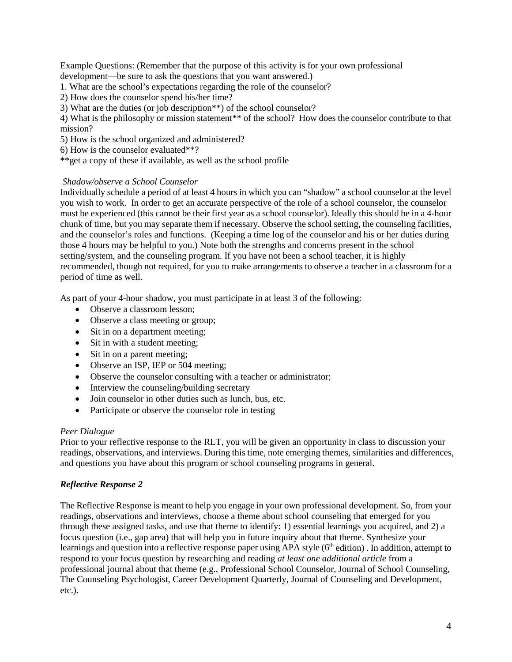Example Questions: (Remember that the purpose of this activity is for your own professional development—be sure to ask the questions that you want answered.)

- 1. What are the school's expectations regarding the role of the counselor?
- 2) How does the counselor spend his/her time?
- 3) What are the duties (or job description\*\*) of the school counselor?

4) What is the philosophy or mission statement\*\* of the school? How does the counselor contribute to that mission?

- 5) How is the school organized and administered?
- 6) How is the counselor evaluated\*\*?
- \*\*get a copy of these if available, as well as the school profile

## *Shadow/observe a School Counselor*

Individually schedule a period of at least 4 hours in which you can "shadow" a school counselor at the level you wish to work. In order to get an accurate perspective of the role of a school counselor, the counselor must be experienced (this cannot be their first year as a school counselor). Ideally this should be in a 4-hour chunk of time, but you may separate them if necessary. Observe the school setting, the counseling facilities, and the counselor's roles and functions. (Keeping a time log of the counselor and his or her duties during those 4 hours may be helpful to you.) Note both the strengths and concerns present in the school setting/system, and the counseling program. If you have not been a school teacher, it is highly recommended, though not required, for you to make arrangements to observe a teacher in a classroom for a period of time as well.

As part of your 4-hour shadow, you must participate in at least 3 of the following:

- Observe a classroom lesson:
- Observe a class meeting or group;
- Sit in on a department meeting;
- Sit in with a student meeting;
- Sit in on a parent meeting;
- Observe an ISP, IEP or 504 meeting;
- Observe the counselor consulting with a teacher or administrator;
- Interview the counseling/building secretary
- Join counselor in other duties such as lunch, bus, etc.
- Participate or observe the counselor role in testing

#### *Peer Dialogue*

Prior to your reflective response to the RLT, you will be given an opportunity in class to discussion your readings, observations, and interviews. During this time, note emerging themes, similarities and differences, and questions you have about this program or school counseling programs in general.

# *Reflective Response 2*

The Reflective Response is meant to help you engage in your own professional development. So, from your readings, observations and interviews, choose a theme about school counseling that emerged for you through these assigned tasks, and use that theme to identify: 1) essential learnings you acquired, and 2) a focus question (i.e., gap area) that will help you in future inquiry about that theme. Synthesize your learnings and question into a reflective response paper using APA style (6<sup>th</sup> edition). In addition, attempt to respond to your focus question by researching and reading *at least one additional article* from a professional journal about that theme (e.g., Professional School Counselor, Journal of School Counseling, The Counseling Psychologist, Career Development Quarterly, Journal of Counseling and Development, etc.).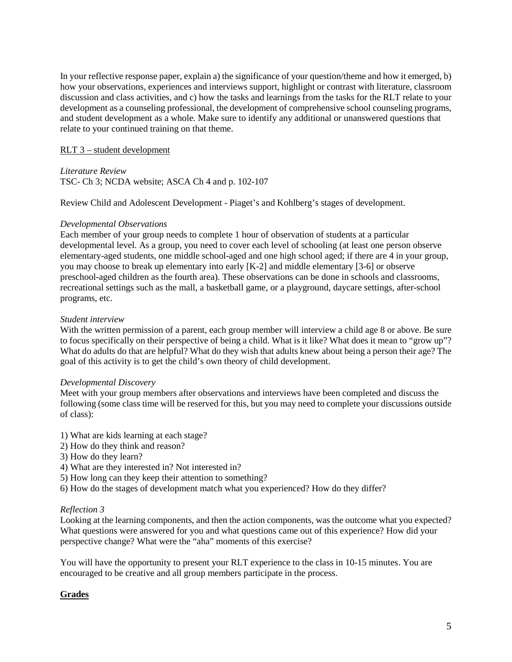In your reflective response paper, explain a) the significance of your question/theme and how it emerged, b) how your observations, experiences and interviews support, highlight or contrast with literature, classroom discussion and class activities, and c) how the tasks and learnings from the tasks for the RLT relate to your development as a counseling professional, the development of comprehensive school counseling programs, and student development as a whole. Make sure to identify any additional or unanswered questions that relate to your continued training on that theme.

# RLT 3 – student development

*Literature Review*

TSC- Ch 3; NCDA website; ASCA Ch 4 and p. 102-107

Review Child and Adolescent Development - Piaget's and Kohlberg's stages of development.

## *Developmental Observations*

Each member of your group needs to complete 1 hour of observation of students at a particular developmental level. As a group, you need to cover each level of schooling (at least one person observe elementary-aged students, one middle school-aged and one high school aged; if there are 4 in your group, you may choose to break up elementary into early [K-2] and middle elementary [3-6] or observe preschool-aged children as the fourth area). These observations can be done in schools and classrooms, recreational settings such as the mall, a basketball game, or a playground, daycare settings, after-school programs, etc.

## *Student interview*

With the written permission of a parent, each group member will interview a child age 8 or above. Be sure to focus specifically on their perspective of being a child. What is it like? What does it mean to "grow up"? What do adults do that are helpful? What do they wish that adults knew about being a person their age? The goal of this activity is to get the child's own theory of child development.

#### *Developmental Discovery*

Meet with your group members after observations and interviews have been completed and discuss the following (some class time will be reserved for this, but you may need to complete your discussions outside of class):

- 1) What are kids learning at each stage?
- 2) How do they think and reason?
- 3) How do they learn?
- 4) What are they interested in? Not interested in?
- 5) How long can they keep their attention to something?
- 6) How do the stages of development match what you experienced? How do they differ?

# *Reflection 3*

Looking at the learning components, and then the action components, was the outcome what you expected? What questions were answered for you and what questions came out of this experience? How did your perspective change? What were the "aha" moments of this exercise?

You will have the opportunity to present your RLT experience to the class in 10-15 minutes. You are encouraged to be creative and all group members participate in the process.

# **Grades**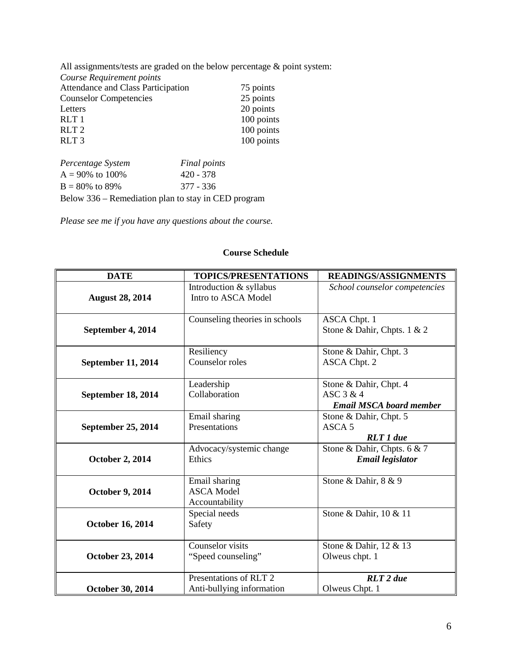All assignments/tests are graded on the below percentage & point system: *Course Requirement points* Attendance and Class Participation 75 points<br>
Counselor Competencies 25 points Counselor Competencies Letters 20 points<br>RLT 1 100 points RLT 1 100 points<br>RLT 2 100 points RLT 2 100 points<br>RLT 3 100 points  $100$  points *Percentage System Final points*

| $A = 90\%$ to 100%                                  | $420 - 378$ |
|-----------------------------------------------------|-------------|
| $B = 80\%$ to 89%                                   | 377 - 336   |
| Below 336 – Remediation plan to stay in CED program |             |

*Please see me if you have any questions about the course.*

| <b>DATE</b>               | <b>TOPICS/PRESENTATIONS</b>                          | <b>READINGS/ASSIGNMENTS</b>                                           |
|---------------------------|------------------------------------------------------|-----------------------------------------------------------------------|
| <b>August 28, 2014</b>    | Introduction & syllabus<br>Intro to ASCA Model       | School counselor competencies                                         |
| September 4, 2014         | Counseling theories in schools                       | <b>ASCA Chpt. 1</b><br>Stone & Dahir, Chpts. 1 & 2                    |
| <b>September 11, 2014</b> | Resiliency<br>Counselor roles                        | Stone & Dahir, Chpt. 3<br><b>ASCA Chpt. 2</b>                         |
| September 18, 2014        | Leadership<br>Collaboration                          | Stone & Dahir, Chpt. 4<br>ASC 3 & 4<br><b>Email MSCA board member</b> |
| September 25, 2014        | Email sharing<br>Presentations                       | Stone & Dahir, Chpt. 5<br>ASCA <sub>5</sub><br><b>RLT</b> 1 due       |
| <b>October 2, 2014</b>    | Advocacy/systemic change<br>Ethics                   | Stone & Dahir, Chpts. 6 & 7<br><b>Email legislator</b>                |
| <b>October 9, 2014</b>    | Email sharing<br><b>ASCA Model</b><br>Accountability | Stone & Dahir, 8 & 9                                                  |
| <b>October 16, 2014</b>   | Special needs<br>Safety                              | Stone & Dahir, 10 & 11                                                |
| <b>October 23, 2014</b>   | Counselor visits<br>"Speed counseling"               | Stone & Dahir, 12 & 13<br>Olweus chpt. 1                              |
| October 30, 2014          | Presentations of RLT 2<br>Anti-bullying information  | <b>RLT</b> 2 due<br>Olweus Chpt. 1                                    |

### **Course Schedule**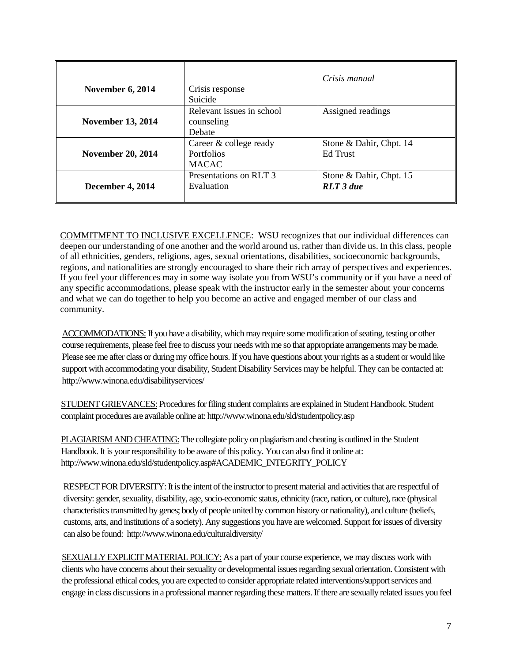|                          |                           | Crisis manual           |
|--------------------------|---------------------------|-------------------------|
| <b>November 6, 2014</b>  | Crisis response           |                         |
|                          | Suicide                   |                         |
|                          | Relevant issues in school | Assigned readings       |
| <b>November 13, 2014</b> | counseling                |                         |
|                          | Debate                    |                         |
|                          | Career & college ready    | Stone & Dahir, Chpt. 14 |
| <b>November 20, 2014</b> | <b>Portfolios</b>         | Ed Trust                |
|                          | <b>MACAC</b>              |                         |
|                          | Presentations on RLT 3    | Stone & Dahir, Chpt. 15 |
| December 4, 2014         | Evaluation                | $RLT$ 3 due             |
|                          |                           |                         |

COMMITMENT TO INCLUSIVE EXCELLENCE: WSU recognizes that our individual differences can deepen our understanding of one another and the world around us, rather than divide us. In this class, people of all ethnicities, genders, religions, ages, sexual orientations, disabilities, socioeconomic backgrounds, regions, and nationalities are strongly encouraged to share their rich array of perspectives and experiences. If you feel your differences may in some way isolate you from WSU's community or if you have a need of any specific accommodations, please speak with the instructor early in the semester about your concerns and what we can do together to help you become an active and engaged member of our class and community.

ACCOMMODATIONS: If you have a disability, which may require some modification of seating, testing or other course requirements, please feel free to discuss your needs with me so that appropriate arrangements may be made. Please see me after class or during my office hours. If you have questions about your rights as a student or would like support with accommodating your disability, Student Disability Services may be helpful. They can be contacted at: http://www.winona.edu/disabilityservices/

STUDENT GRIEVANCES: Procedures for filing student complaints are explained in Student Handbook. Student complaint procedures are available online at: http://www.winona.edu/sld/studentpolicy.asp

PLAGIARISM AND CHEATING: The collegiate policy on plagiarism and cheating is outlined in the Student Handbook. It is your responsibility to be aware of this policy. You can also find it online at: http://www.winona.edu/sld/studentpolicy.asp#ACADEMIC\_INTEGRITY\_POLICY

RESPECT FOR DIVERSITY: It is the intent of the instructor to present material and activities that are respectful of diversity: gender, sexuality, disability, age, socio-economic status, ethnicity (race, nation, or culture), race (physical characteristics transmitted by genes; body of people united by common history or nationality), and culture (beliefs, customs, arts, and institutions of a society). Any suggestions you have are welcomed. Support for issues of diversity can also be found: http://www.winona.edu/culturaldiversity/

SEXUALLY EXPLICIT MATERIAL POLICY: As a part of your course experience, we may discuss work with clients who have concerns about their sexuality or developmental issues regarding sexual orientation. Consistent with the professional ethical codes, you are expected to consider appropriate related interventions/support services and engage in class discussions in a professional manner regarding these matters. If there are sexually related issues you feel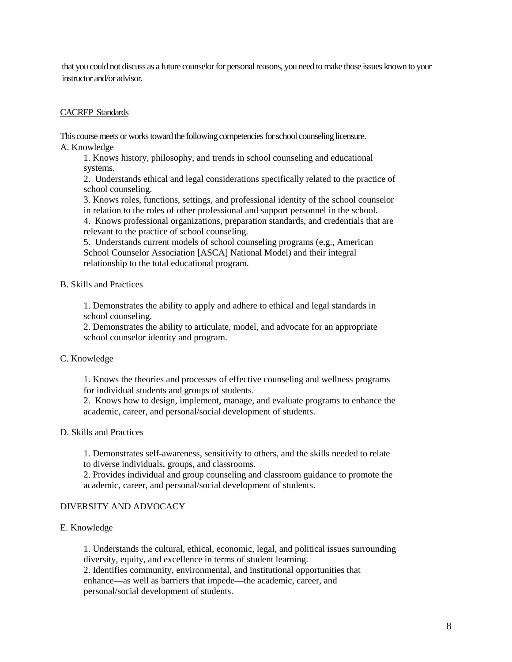that you could not discuss as a future counselor for personal reasons, you need to make those issues known to your instructor and/or advisor.

#### CACREP Standards

This course meets or works toward the following competencies for school counseling licensure. A. Knowledge

1. Knows history, philosophy, and trends in school counseling and educational systems.

2. Understands ethical and legal considerations specifically related to the practice of school counseling.

3. Knows roles, functions, settings, and professional identity of the school counselor in relation to the roles of other professional and support personnel in the school.

4. Knows professional organizations, preparation standards, and credentials that are relevant to the practice of school counseling.

5. Understands current models of school counseling programs (e.g., American School Counselor Association [ASCA] National Model) and their integral relationship to the total educational program.

#### B. Skills and Practices

1. Demonstrates the ability to apply and adhere to ethical and legal standards in school counseling.

2. Demonstrates the ability to articulate, model, and advocate for an appropriate school counselor identity and program.

#### C. Knowledge

1. Knows the theories and processes of effective counseling and wellness programs for individual students and groups of students.

2. Knows how to design, implement, manage, and evaluate programs to enhance the academic, career, and personal/social development of students.

#### D. Skills and Practices

1. Demonstrates self-awareness, sensitivity to others, and the skills needed to relate to diverse individuals, groups, and classrooms.

2. Provides individual and group counseling and classroom guidance to promote the academic, career, and personal/social development of students.

#### DIVERSITY AND ADVOCACY

#### E. Knowledge

1. Understands the cultural, ethical, economic, legal, and political issues surrounding diversity, equity, and excellence in terms of student learning.

2. Identifies community, environmental, and institutional opportunities that enhance—as well as barriers that impede—the academic, career, and personal/social development of students.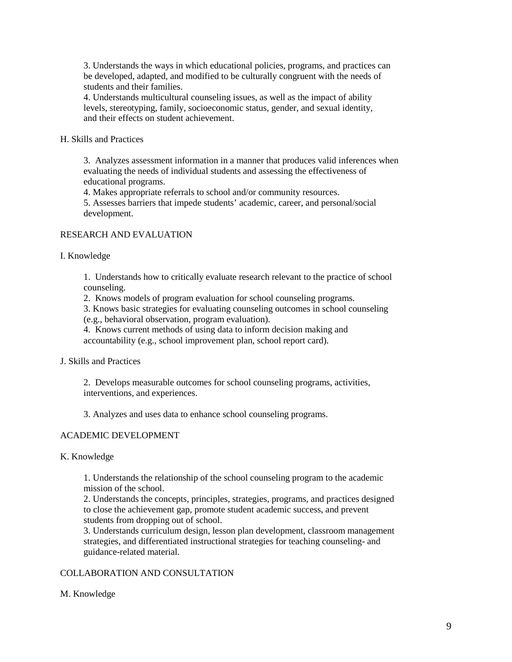3. Understands the ways in which educational policies, programs, and practices can be developed, adapted, and modified to be culturally congruent with the needs of students and their families.

4. Understands multicultural counseling issues, as well as the impact of ability levels, stereotyping, family, socioeconomic status, gender, and sexual identity, and their effects on student achievement.

### H. Skills and Practices

3. Analyzes assessment information in a manner that produces valid inferences when evaluating the needs of individual students and assessing the effectiveness of educational programs.

4. Makes appropriate referrals to school and/or community resources.

5. Assesses barriers that impede students' academic, career, and personal/social development.

## RESEARCH AND EVALUATION

#### I. Knowledge

1. Understands how to critically evaluate research relevant to the practice of school counseling.

2. Knows models of program evaluation for school counseling programs.

3. Knows basic strategies for evaluating counseling outcomes in school counseling

(e.g., behavioral observation, program evaluation).

4. Knows current methods of using data to inform decision making and accountability (e.g., school improvement plan, school report card).

#### J. Skills and Practices

2. Develops measurable outcomes for school counseling programs, activities, interventions, and experiences.

3. Analyzes and uses data to enhance school counseling programs.

# ACADEMIC DEVELOPMENT

#### K. Knowledge

1. Understands the relationship of the school counseling program to the academic mission of the school.

2. Understands the concepts, principles, strategies, programs, and practices designed to close the achievement gap, promote student academic success, and prevent students from dropping out of school.

3. Understands curriculum design, lesson plan development, classroom management strategies, and differentiated instructional strategies for teaching counseling- and guidance-related material.

# COLLABORATION AND CONSULTATION

#### M. Knowledge